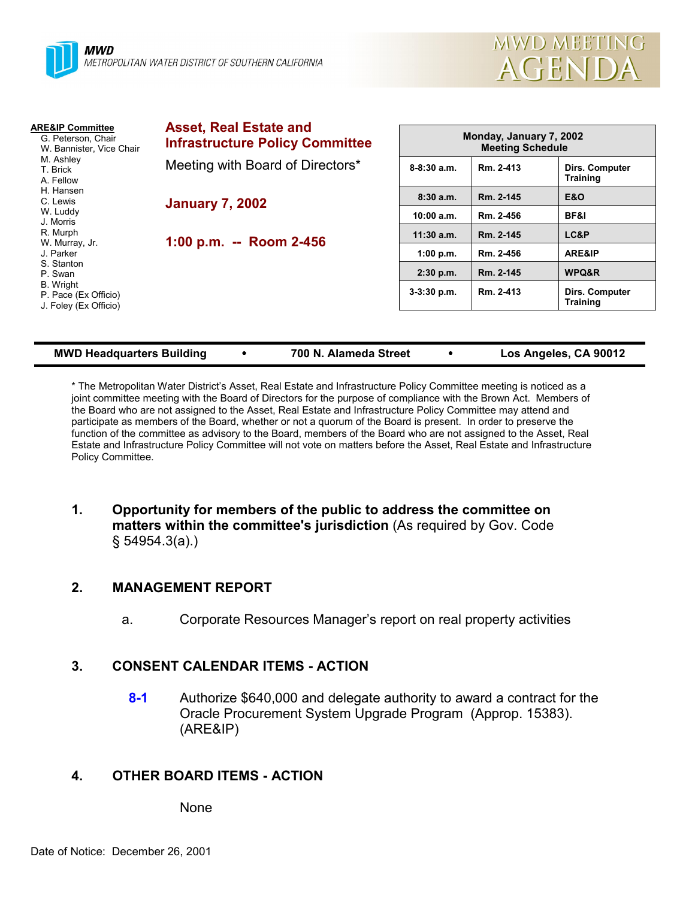

| <b>Asset, Real Estate and</b><br><b>Infrastructure Policy Committee</b> | Monday, January 7, 2002<br><b>Meeting Schedule</b> |           |                                   |
|-------------------------------------------------------------------------|----------------------------------------------------|-----------|-----------------------------------|
| Meeting with Board of Directors*                                        | $8-8:30a.m.$                                       | Rm. 2-413 | Dirs. Computer<br><b>Training</b> |
| <b>January 7, 2002</b>                                                  | 8:30a.m.                                           | Rm. 2-145 | <b>E&amp;O</b>                    |
|                                                                         | 10:00 a.m.                                         | Rm. 2-456 | BF&I                              |
|                                                                         | $11:30$ a.m.                                       | Rm. 2-145 | LC&P                              |
|                                                                         | 1:00 p.m.                                          | Rm. 2-456 | ARE&IP                            |
|                                                                         | $2:30$ p.m.                                        | Rm. 2-145 | <b>WPQ&amp;R</b>                  |
|                                                                         | $3-3:30$ p.m.                                      | Rm. 2-413 | Dirs. Computer<br><b>Training</b> |
|                                                                         | 1:00 p.m. -- Room 2-456                            |           |                                   |

**MWD Headquarters Building** ! **700 N. Alameda Street** ! **Los Angeles, CA 90012**

\* The Metropolitan Water Districtís Asset, Real Estate and Infrastructure Policy Committee meeting is noticed as a joint committee meeting with the Board of Directors for the purpose of compliance with the Brown Act. Members of the Board who are not assigned to the Asset, Real Estate and Infrastructure Policy Committee may attend and participate as members of the Board, whether or not a quorum of the Board is present. In order to preserve the function of the committee as advisory to the Board, members of the Board who are not assigned to the Asset, Real Estate and Infrastructure Policy Committee will not vote on matters before the Asset, Real Estate and Infrastructure Policy Committee.

**1. Opportunity for members of the public to address the committee on matters within the committee's jurisdiction** (As required by Gov. Code ß 54954.3(a).)

## **2. MANAGEMENT REPORT**

a. Corporate Resources Manager's report on real property activities

## **3. CONSENT CALENDAR ITEMS - ACTION**

**8-1** Authorize \$640,000 and delegate authority to award a contract for the Oracle Procurement System Upgrade Program (Approp. 15383). (ARE&IP)

## **4. OTHER BOARD ITEMS - ACTION**

None